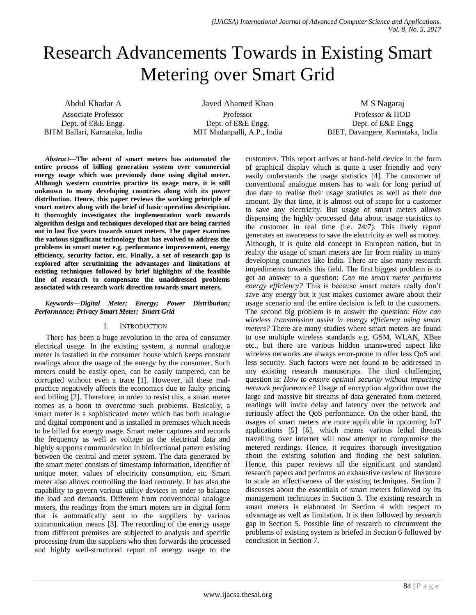# Research Advancements Towards in Existing Smart Metering over Smart Grid

Abdul Khadar A Associate Professor Dept. of E&E Engg. BITM Ballari, Karnataka, India

Javed Ahamed Khan Professor Dept. of E&E Engg. MIT Madanpalli, A.P., India

M S Nagaraj Professor & HOD Dept. of E&E Engg BIET, Davangere, Karnataka, India

*Abstract***—The advent of smart meters has automated the entire process of billing generation system over commercial energy usage which was previously done using digital meter. Although western countries practice its usage more, it is still unknown to many developing countries along with its power distribution. Hence, this paper reviews the working principle of smart meters along with the brief of basic operation description. It thoroughly investigates the implementation work towards algorithm design and techniques developed that are being carried out in last five years towards smart meters. The paper examines the various significant technology that has evolved to address the problems in smart meter e.g. performance improvement, energy efficiency, security factor, etc. Finally, a set of research gap is explored after scrutinizing the advantages and limitations of existing techniques followed by brief highlights of the feasible line of research to compensate the unaddressed problems associated with research work direction towards smart meters.**

### *Keywords—Digital Meter; Energy; Power Distribution; Performance; Privacy Smart Meter; Smart Grid*

## I. INTRODUCTION

There has been a huge revolution in the area of consumer electrical usage. In the existing system, a normal analogue meter is installed in the consumer house which keeps constant readings about the usage of the energy by the consumer. Such meters could be easily open, can be easily tampered, can be corrupted without even a trace [1]. However, all these malpractice negatively affects the economics due to faulty pricing and billing [2]. Therefore, in order to resist this, a smart meter comes as a boon to overcome such problems. Basically, a smart meter is a sophisticated meter which has both analogue and digital component and is installed in premises which needs to be billed for energy usage. Smart meter captures and records the frequency as well as voltage as the electrical data and highly supports communication in bidirectional pattern existing between the central and meter system. The data generated by the smart meter consists of timestamp information, identifier of unique meter, values of electricity consumption, etc. Smart meter also allows controlling the load remotely. It has also the capability to govern various utility devices in order to balance the load and demands. Different from conventional analogue meters, the readings from the smart meters are in digital form that is automatically sent to the suppliers by various communication means [3]. The recording of the energy usage from different premises are subjected to analysis and specific processing from the suppliers who then forwards the processed and highly well-structured report of energy usage to the customers. This report arrives at hand-held device in the form of graphical display which is quite a user friendly and very easily understands the usage statistics [4]. The consumer of conventional analogue meters has to wait for long period of due date to realise their usage statistics as well as their due amount. By that time, it is almost out of scope for a customer to save any electricity. But usage of smart meters allows dispensing the highly processed data about usage statistics to the customer in real time (i.e. 24/7). This lively report generates an awareness to save the electricity as well as money. Although, it is quite old concept in European nation, but in reality the usage of smart meters are far from reality in many developing countries like India. There are also many research impediments towards this field. The first biggest problem is to get an answer to a question: *Can the smart meter performs energy efficiency?* This is because smart meters really don't save any energy but it just makes customer aware about their usage scenario and the entire decision is left to the customers. The second big problem is to answer the question: *How can wireless transmission assist in energy efficiency using smart meters?* There are many studies where smart meters are found to use multiple wireless standards e.g. GSM, WLAN, XBee etc., but there are various hidden unanswered aspect like wireless networks are always error-prone to offer less QoS and less security. Such factors were not found to be addressed in any existing research manuscripts. The third challenging question is: *How to ensure optimal security without impacting network performance?* Usage of encryption algorithm over the large and massive bit streams of data generated from metered readings will invite delay and latency over the network and seriously affect the QoS performance. On the other hand, the usages of smart meters are more applicable in upcoming IoT applications [5] [6], which means various lethal threats travelling over internet will now attempt to compromise the metered readings. Hence, it requires thorough investigation about the existing solution and finding the best solution. Hence, this paper reviews all the significant and standard research papers and performs an exhaustive review of literature to scale an effectiveness of the existing techniques. Section 2 discusses about the essentials of smart meters followed by its management techniques in Section 3. The existing research in smart meters is elaborated in Section 4 with respect to advantage as well as limitation. It is then followed by research gap in Section 5. Possible line of research to circumvent the problems of existing system is briefed in Section 6 followed by conclusion in Section 7.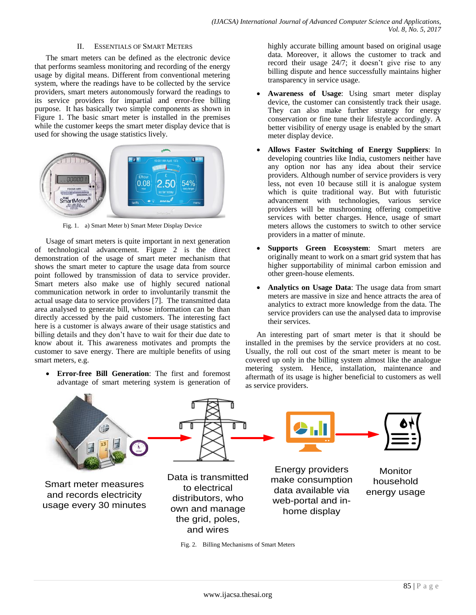## II. ESSENTIALS OF SMART METERS

The smart meters can be defined as the electronic device that performs seamless monitoring and recording of the energy usage by digital means. Different from conventional metering system, where the readings have to be collected by the service providers, smart meters autonomously forward the readings to its service providers for impartial and error-free billing purpose. It has basically two simple components as shown in Figure 1. The basic smart meter is installed in the premises while the customer keeps the smart meter display device that is used for showing the usage statistics lively.



Fig. 1. a) Smart Meter b) Smart Meter Display Device

Usage of smart meters is quite important in next generation of technological advancement. Figure 2 is the direct demonstration of the usage of smart meter mechanism that shows the smart meter to capture the usage data from source point followed by transmission of data to service provider. Smart meters also make use of highly secured national communication network in order to involuntarily transmit the actual usage data to service providers [7]. The transmitted data area analysed to generate bill, whose information can be than directly accessed by the paid customers. The interesting fact here is a customer is always aware of their usage statistics and billing details and they don't have to wait for their due date to know about it. This awareness motivates and prompts the customer to save energy. There are multiple benefits of using smart meters, e.g.

 **Error-free Bill Generation**: The first and foremost advantage of smart metering system is generation of highly accurate billing amount based on original usage data. Moreover, it allows the customer to track and record their usage 24/7; it doesn't give rise to any billing dispute and hence successfully maintains higher transparency in service usage.

- **Awareness of Usage**: Using smart meter display device, the customer can consistently track their usage. They can also make further strategy for energy conservation or fine tune their lifestyle accordingly. A better visibility of energy usage is enabled by the smart meter display device.
- **Allows Faster Switching of Energy Suppliers**: In developing countries like India, customers neither have any option nor has any idea about their service providers. Although number of service providers is very less, not even 10 because still it is analogue system which is quite traditional way. But with futuristic advancement with technologies, various service providers will be mushrooming offering competitive services with better charges. Hence, usage of smart meters allows the customers to switch to other service providers in a matter of minute.
- **Supports Green Ecosystem**: Smart meters are originally meant to work on a smart grid system that has higher supportability of minimal carbon emission and other green-house elements.
- **Analytics on Usage Data**: The usage data from smart meters are massive in size and hence attracts the area of analytics to extract more knowledge from the data. The service providers can use the analysed data to improvise their services.

An interesting part of smart meter is that it should be installed in the premises by the service providers at no cost. Usually, the roll out cost of the smart meter is meant to be covered up only in the billing system almost like the analogue metering system. Hence, installation, maintenance and aftermath of its usage is higher beneficial to customers as well as service providers.



Fig. 2. Billing Mechanisms of Smart Meters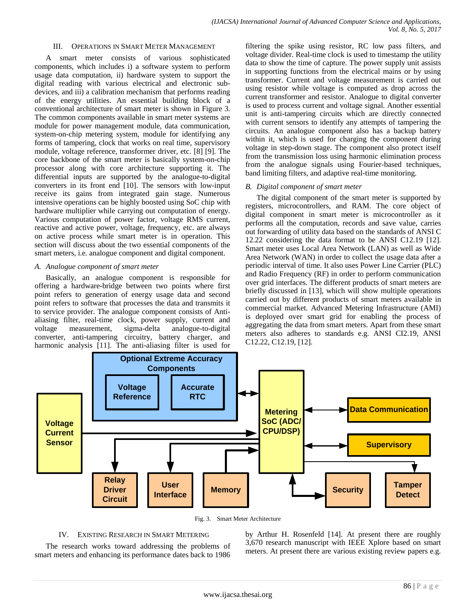#### III. OPERATIONS IN SMART METER MANAGEMENT

A smart meter consists of various sophisticated components, which includes i) a software system to perform usage data computation, ii) hardware system to support the digital reading with various electrical and electronic subdevices, and iii) a calibration mechanism that performs reading of the energy utilities. An essential building block of a conventional architecture of smart meter is shown in Figure 3. The common components available in smart meter systems are module for power management module, data communication, system-on-chip metering system, module for identifying any forms of tampering, clock that works on real time, supervisory module, voltage reference, transformer driver, etc. [8] [9]. The core backbone of the smart meter is basically system-on-chip processor along with core architecture supporting it. The differential inputs are supported by the analogue-to-digital converters in its front end [10]. The sensors with low-input receive its gains from integrated gain stage. Numerous intensive operations can be highly boosted using SoC chip with hardware multiplier while carrying out computation of energy. Various computation of power factor, voltage RMS current, reactive and active power, voltage, frequency, etc. are always on active process while smart meter is in operation. This section will discuss about the two essential components of the smart meters, i.e. analogue component and digital component.

## *A. Analogue component of smart meter*

Basically, an analogue component is responsible for offering a hardware-bridge between two points where first point refers to generation of energy usage data and second point refers to software that processes the data and transmits it to service provider. The analogue component consists of Antialiasing filter, real-time clock, power supply, current and voltage measurement, sigma-delta analogue-to-digital converter, anti-tampering circuitry, battery charger, and harmonic analysis [11]. The anti-aliasing filter is used for filtering the spike using resistor, RC low pass filters, and voltage divider. Real-time clock is used to timestamp the utility data to show the time of capture. The power supply unit assists in supporting functions from the electrical mains or by using transformer. Current and voltage measurement is carried out using resistor while voltage is computed as drop across the current transformer and resistor. Analogue to digital converter is used to process current and voltage signal. Another essential unit is anti-tampering circuits which are directly connected with current sensors to identify any attempts of tampering the circuits. An analogue component also has a backup battery within it, which is used for charging the component during voltage in step-down stage. The component also protect itself from the transmission loss using harmonic elimination process from the analogue signals using Fourier-based techniques, band limiting filters, and adaptive real-time monitoring.

## *B. Digital component of smart meter*

The digital component of the smart meter is supported by registers, microcontrollers, and RAM. The core object of digital component in smart meter is microcontroller as it performs all the computation, records and save value, carries out forwarding of utility data based on the standards of ANSI C 12.22 considering the data format to be ANSI C12.19 [12]. Smart meter uses Local Area Network (LAN) as well as Wide Area Network (WAN) in order to collect the usage data after a periodic interval of time. It also uses Power Line Carrier (PLC) and Radio Frequency (RF) in order to perform communication over grid interfaces. The different products of smart meters are briefly discussed in [13], which will show multiple operations carried out by different products of smart meters available in commercial market. Advanced Metering Infrastructure (AMI) is deployed over smart grid for enabling the process of aggregating the data from smart meters. Apart from these smart meters also adheres to standards e.g. ANSI CI2.19, ANSI C12.22, C12.19, [12].



Fig. 3. Smart Meter Architecture

## IV. EXISTING RESEARCH IN SMART METERING

The research works toward addressing the problems of smart meters and enhancing its performance dates back to 1986 by Arthur H. Rosenfeld [14]. At present there are roughly 3,670 research manuscript with IEEE Xplore based on smart meters. At present there are various existing review papers e.g.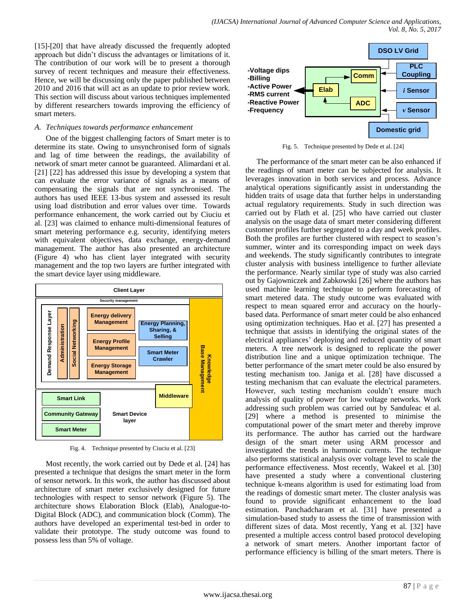[15]-[20] that have already discussed the frequently adopted approach but didn't discuss the advantages or limitations of it. The contribution of our work will be to present a thorough survey of recent techniques and measure their effectiveness. Hence, we will be discussing only the paper published between 2010 and 2016 that will act as an update to prior review work. This section will discuss about various techniques implemented by different researchers towards improving the efficiency of smart meters.

# *A. Techniques towards performance enhancement*

One of the biggest challenging factors of Smart meter is to determine its state. Owing to unsynchronised form of signals and lag of time between the readings, the availability of network of smart meter cannot be guaranteed. Alimardani et al. [21] [22] has addressed this issue by developing a system that can evaluate the error variance of signals as a means of compensating the signals that are not synchronised. The authors has used IEEE 13-bus system and assessed its result using load distribution and error values over time. Towards performance enhancement, the work carried out by Ciuciu et al. [23] was claimed to enhance multi-dimensional features of smart metering performance e.g. security, identifying meters with equivalent objectives, data exchange, energy-demand management. The author has also presented an architecture (Figure 4) who has client layer integrated with security management and the top two layers are further integrated with the smart device layer using middleware.



Fig. 4. Technique presented by Ciuciu et al. [23]

Most recently, the work carried out by Dede et al. [24] has presented a technique that designs the smart meter in the form of sensor network. In this work, the author has discussed about architecture of smart meter exclusively designed for future technologies with respect to sensor network (Figure 5). The architecture shows Elaboration Block (Elab), Analogue-to-Digital Block (ADC), and communication block (Comm). The authors have developed an experimental test-bed in order to validate their prototype. The study outcome was found to possess less than 5% of voltage.



Fig. 5. Technique presented by Dede et al. [24]

The performance of the smart meter can be also enhanced if the readings of smart meter can be subjected for analysis. It leverages innovation in both services and process. Advance analytical operations significantly assist in understanding the hidden traits of usage data that further helps in understanding actual regulatory requirements. Study in such direction was carried out by Flath et al. [25] who have carried out cluster analysis on the usage data of smart meter considering different customer profiles further segregated to a day and week profiles. Both the profiles are further clustered with respect to season's summer, winter and its corresponding impact on week days and weekends. The study significantly contributes to integrate cluster analysis with business intelligence to further alleviate the performance. Nearly similar type of study was also carried out by Gajowniczek and Zabkowski [26] where the authors has used machine learning technique to perform forecasting of smart metered data. The study outcome was evaluated with respect to mean squared error and accuracy on the hourlybased data. Performance of smart meter could be also enhanced using optimization techniques. Hao et al. [27] has presented a technique that assists in identifying the original states of the electrical appliances' deploying and reduced quantity of smart meters. A tree network is designed to replicate the power distribution line and a unique optimization technique. The better performance of the smart meter could be also ensured by testing mechanism too. Janiga et al. [28] have discussed a testing mechanism that can evaluate the electrical parameters. However, such testing mechanism couldn't ensure much analysis of quality of power for low voltage networks. Work addressing such problem was carried out by Sanduleac et al. [29] where a method is presented to minimise the computational power of the smart meter and thereby improve its performance. The author has carried out the hardware design of the smart meter using ARM processor and investigated the trends in harmonic currents. The technique also performs statistical analysis over voltage level to scale the performance effectiveness. Most recently, Wakeel et al. [30] have presented a study where a conventional clustering technique k-means algorithm is used for estimating load from the readings of domestic smart meter. The cluster analysis was found to provide significant enhancement to the load estimation. Panchadcharam et al. [31] have presented a simulation-based study to assess the time of transmission with different sizes of data. Most recently, Yang et al. [32] have presented a multiple access control based protocol developing a network of smart meters. Another important factor of performance efficiency is billing of the smart meters. There is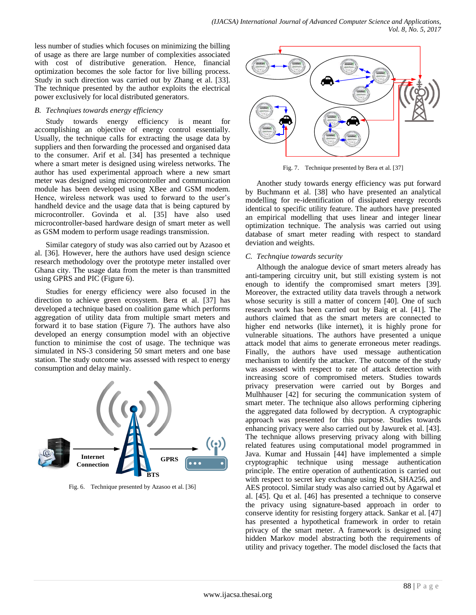less number of studies which focuses on minimizing the billing of usage as there are large number of complexities associated with cost of distributive generation. Hence, financial optimization becomes the sole factor for live billing process. Study in such direction was carried out by Zhang et al. [33]. The technique presented by the author exploits the electrical power exclusively for local distributed generators.

## *B. Technqiues towards energy efficiency*

Study towards energy efficiency is meant for accomplishing an objective of energy control essentially. Usually, the technique calls for extracting the usage data by suppliers and then forwarding the processed and organised data to the consumer. Arif et al. [34] has presented a technique where a smart meter is designed using wireless networks. The author has used experimental approach where a new smart meter was designed using microcontroller and communication module has been developed using XBee and GSM modem. Hence, wireless network was used to forward to the user's handheld device and the usage data that is being captured by microcontroller. Govinda et al. [35] have also used microcontroller-based hardware design of smart meter as well as GSM modem to perform usage readings transmission.

Similar category of study was also carried out by Azasoo et al. [36]. However, here the authors have used design science research methodology over the prototype meter installed over Ghana city. The usage data from the meter is than transmitted using GPRS and PIC (Figure 6).

Studies for energy efficiency were also focused in the direction to achieve green ecosystem. Bera et al. [37] has developed a technique based on coalition game which performs aggregation of utility data from multiple smart meters and forward it to base station (Figure 7). The authors have also developed an energy consumption model with an objective function to minimise the cost of usage. The technique was simulated in NS-3 considering 50 smart meters and one base station. The study outcome was assessed with respect to energy consumption and delay mainly.



Fig. 6. Technique presented by Azasoo et al. [36]



Fig. 7. Technique presented by Bera et al. [37]

Another study towards energy efficiency was put forward by Buchmann et al. [38] who have presented an analytical modelling for re-identification of dissipated energy records identical to specific utility feature. The authors have presented an empirical modelling that uses linear and integer linear optimization technique. The analysis was carried out using database of smart meter reading with respect to standard deviation and weights.

# *C. Technqiue towards security*

Although the analogue device of smart meters already has anti-tampering circuitry unit, but still existing system is not enough to identify the compromised smart meters [39]. Moreover, the extracted utility data travels through a network whose security is still a matter of concern [40]. One of such research work has been carried out by Baig et al. [41]. The authors claimed that as the smart meters are connected to higher end networks (like internet), it is highly prone for vulnerable situations. The authors have presented a unique attack model that aims to generate erroneous meter readings. Finally, the authors have used message authentication mechanism to identify the attacker. The outcome of the study was assessed with respect to rate of attack detection with increasing score of compromised meters. Studies towards privacy preservation were carried out by Borges and Mulhhauser [42] for securing the communication system of smart meter. The technique also allows performing ciphering the aggregated data followed by decryption. A cryptographic approach was presented for this purpose. Studies towards enhancing privacy were also carried out by Jawurek et al. [43]. The technique allows preserving privacy along with billing related features using computational model programmed in Java. Kumar and Hussain [44] have implemented a simple cryptographic technique using message authentication principle. The entire operation of authentication is carried out with respect to secret key exchange using RSA, SHA256, and AES protocol. Similar study was also carried out by Agarwal et al. [45]. Qu et al. [46] has presented a technique to conserve the privacy using signature-based approach in order to conserve identity for resisting forgery attack. Sankar et al. [47] has presented a hypothetical framework in order to retain privacy of the smart meter. A framework is designed using hidden Markov model abstracting both the requirements of utility and privacy together. The model disclosed the facts that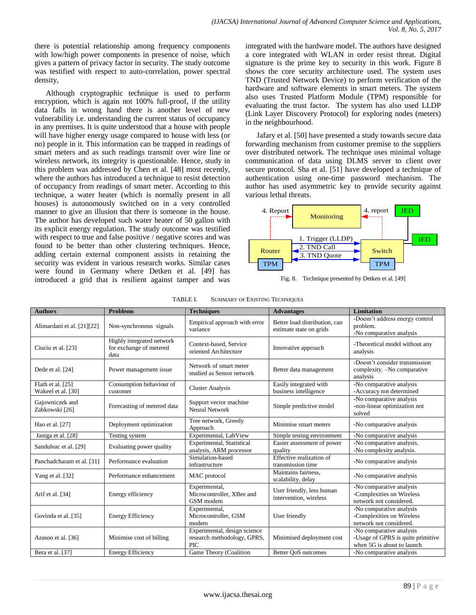there is potential relationship among frequency components with low/high power components in presence of noise, which gives a pattern of privacy factor in security. The study outcome was testified with respect to auto-correlation, power spectral density,

Although cryptographic technique is used to perform encryption, which is again not 100% full-proof, if the utility data falls in wrong hand there is another level of new vulnerability i.e. understanding the current status of occupancy in any premises. It is quite understood that a house with people will have higher energy usage compared to house with less (or no) people in it. This information can be trapped in readings of smart meters and as such readings transmit over wire line or wireless network, its integrity is questionable. Hence, study in this problem was addressed by Chen et al. [48] most recently, where the authors has introduced a technique to resist detection of occupancy from readings of smart meter. According to this technique, a water heater (which is normally present in all houses) is autonomously switched on in a very controlled manner to give an illusion that there is someone in the house. The author has developed such water heater of 50 gallon with its explicit energy regulation. The study outcome was testified with respect to true and false positive / negative scores and was found to be better than other clustering techniques. Hence, adding certain external component assists in retaining the security was evident in various research works. Similar cases were found in Germany where Detken et al. [49] has introduced a grid that is resilient against tamper and was integrated with the hardware model. The authors have designed a core integrated with WLAN in order resist threat. Digital signature is the prime key to security in this work. Figure 8 shows the core security architecture used. The system uses TND (Trusted Network Device) to perform verification of the hardware and software elements in smart meters. The system also uses Trusted Platform Module (TPM) responsible for evaluating the trust factor. The system has also used LLDP (Link Layer Discovery Protocol) for exploring nodes (meters) in the neighbourhood.

Jafary et al. [50] have presented a study towards secure data forwarding mechanism from customer premise to the suppliers over distributed network. The technique uses minimal voltage communication of data using DLMS server to client over secure protocol. Sha et al. [51] have developed a technique of authentication using one-time password mechanism. The author has used asymmetric key to provide security against various lethal threats.



Fig. 8. Technique presented by Detken et al. [49]

| <b>Authors</b>                          | <b>Problems</b>                                              | <b>Techniques</b>                                                         | <b>Advantages</b>                                        | <b>Limitation</b>                                                                           |
|-----------------------------------------|--------------------------------------------------------------|---------------------------------------------------------------------------|----------------------------------------------------------|---------------------------------------------------------------------------------------------|
| Alimardani et al. [21][22]              | Non-synchronous signals                                      | Empirical approach with error<br>variance                                 | Better load distribution, can<br>estimate state on grids | -Doesn't address energy control<br>problem.<br>-No comparative analysis                     |
| Ciuciu et al. [23]                      | Highly integrated network<br>for exchange of metered<br>data | Context-based, Service<br>oriented Architecture                           | Innovative approach                                      | -Theoretical model without any<br>analysis                                                  |
| Dede et al. [24]                        | Power management issue                                       | Network of smart meter<br>studied as Sensor network                       | Better data management                                   | -Doesn't consider transmission<br>complexity. -No comparative<br>analysis                   |
| Flath et al. [25]<br>Wakeel et al. [30] | Consumption behaviour of<br>customer                         | <b>Cluster Analysis</b>                                                   | Easily integrated with<br>business intelligence          | -No comparative analysis<br>-Accuracy not determined                                        |
| Gajowniczek and<br>Zabkowski [26]       | Forecasting of metered data                                  | Support vector machine<br>Neural Network                                  | Simple predictive model                                  | -No comparative analysis<br>-non-linear optimization not<br>solved                          |
| Hao et al. [27]                         | Deployment optimization                                      | Tree network, Greedy<br>Approach                                          | Minimise smart meters                                    | -No comparative analysis                                                                    |
| Janiga et al. [28]                      | Testing system                                               | Experimental, LabView                                                     | Simple testing environment                               | -No comparative analysis                                                                    |
| Sanduleac et al. [29]                   | Evaluating power quality                                     | Experimental, Statistical<br>analysis, ARM processor                      | Easier assessment of power<br>quality                    | -No comparative analysis.<br>-No complexity analysis.                                       |
| Panchadcharam et al. [31]               | Performance evaluation                                       | Simulation-based<br>infrastructure                                        | Effective realization of<br>transmission time            | -No comparative analysis                                                                    |
| Yang et al. [32]                        | Performance enhancement                                      | MAC protocol                                                              | Maintains fairness,<br>scalability, delay                | -No comparative analysis                                                                    |
| Arif et al. [34]                        | Energy efficiency                                            | Experimental,<br>Microcontroller, XBee and<br>GSM modem                   | User friendly, less human<br>intervention, wireless      | -No comparative analysis<br>-Complexities on Wireless<br>network not considered.            |
| Govinda et al. [35]                     | <b>Energy Efficiency</b>                                     | Experimental,<br>Microcontroller, GSM<br>modem                            | User friendly                                            | -No comparative analysis<br>-Complexities on Wireless<br>network not considered.            |
| Azasoo et al. [36]                      | Minimise cost of billing                                     | Experimental, design science<br>research methodology, GPRS,<br><b>PIC</b> | Minimised deployment cost                                | -No comparative analysis<br>-Usage of GPRS is quite primitive<br>when 5G is about to launch |
| Bera et al. [37]                        | <b>Energy Efficiency</b>                                     | Game Theory (Coalition                                                    | Better OoS outcomes                                      | -No comparative analysis                                                                    |

TABLE I. SUMMARY OF EXISTING TECHNIQUES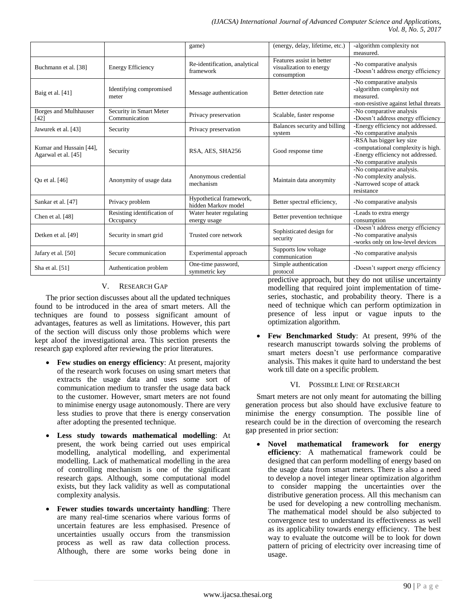|                                                |                                          | game)                                          | (energy, delay, lifetime, etc.)                                     | -algorithm complexity not<br>measured.                                                                                          |
|------------------------------------------------|------------------------------------------|------------------------------------------------|---------------------------------------------------------------------|---------------------------------------------------------------------------------------------------------------------------------|
| Buchmann et al. [38]                           | <b>Energy Efficiency</b>                 | Re-identification, analytical<br>framework     | Features assist in better<br>visualization to energy<br>consumption | -No comparative analysis<br>-Doesn't address energy efficiency                                                                  |
| Baig et al. [41]                               | Identifying compromised<br>meter         | Message authentication                         | Better detection rate                                               | -No comparative analysis<br>-algorithm complexity not<br>measured.<br>-non-resistive against lethal threats                     |
| Borges and Mulhhauser<br>$[42]$                | Security in Smart Meter<br>Communication | Privacy preservation                           | Scalable, faster response                                           | -No comparative analysis<br>-Doesn't address energy efficiency                                                                  |
| Jawurek et al. [43]                            | Security                                 | Privacy preservation                           | Balances security and billing<br>system                             | -Energy efficiency not addressed.<br>-No comparative analysis                                                                   |
| Kumar and Hussain [44],<br>Agarwal et al. [45] | Security                                 | RSA, AES, SHA256                               | Good response time                                                  | -RSA has bigger key size<br>-computational complexity is high.<br>-Energy efficiency not addressed.<br>-No comparative analysis |
| Ou et al. [46]                                 | Anonymity of usage data                  | Anonymous credential<br>mechanism              | Maintain data anonymity                                             | -No comparative analysis.<br>-No complexity analysis.<br>-Narrowed scope of attack<br>resistance                                |
| Sankar et al. [47]                             | Privacy problem                          | Hypothetical framework,<br>hidden Markov model | Better spectral efficiency,                                         | -No comparative analysis                                                                                                        |
| Chen et al. [48]                               | Resisting identification of<br>Occupancy | Water heater regulating<br>energy usage        | Better prevention technique                                         | -Leads to extra energy<br>consumption                                                                                           |
| Detken et al. [49]                             | Security in smart grid                   | Trusted core network                           | Sophisticated design for<br>security                                | -Doesn't address energy efficiency<br>-No comparative analysis<br>-works only on low-level devices                              |
| Jafary et al. [50]                             | Secure communication                     | Experimental approach                          | Supports low voltage<br>communication                               | -No comparative analysis                                                                                                        |
| Sha et al. [51]                                | Authentication problem                   | One-time password,<br>symmetric key            | Simple authentication<br>protocol                                   | -Doesn't support energy efficiency                                                                                              |

# V. RESEARCH GAP

The prior section discusses about all the updated techniques found to be introduced in the area of smart meters. All the techniques are found to possess significant amount of advantages, features as well as limitations. However, this part of the section will discuss only those problems which were kept aloof the investigational area. This section presents the research gap explored after reviewing the prior literatures.

- **Few studies on energy efficiency**: At present, majority of the research work focuses on using smart meters that extracts the usage data and uses some sort of communication medium to transfer the usage data back to the customer. However, smart meters are not found to minimise energy usage autonomously. There are very less studies to prove that there is energy conservation after adopting the presented technique.
- **Less study towards mathematical modelling**: At present, the work being carried out uses empirical modelling, analytical modelling, and experimental modelling. Lack of mathematical modelling in the area of controlling mechanism is one of the significant research gaps. Although, some computational model exists, but they lack validity as well as computational complexity analysis.
- **Fewer studies towards uncertainty handling**: There are many real-time scenarios where various forms of uncertain features are less emphasised. Presence of uncertainties usually occurs from the transmission process as well as raw data collection process. Although, there are some works being done in

predictive approach, but they do not utilise uncertainty modelling that required joint implementation of timeseries, stochastic, and probability theory. There is a need of technique which can perform optimization in presence of less input or vague inputs to the optimization algorithm.

 **Few Benchmarked Study**: At present, 99% of the research manuscript towards solving the problems of smart meters doesn't use performance comparative analysis. This makes it quite hard to understand the best work till date on a specific problem.

## VI. POSSIBLE LINE OF RESEARCH

Smart meters are not only meant for automating the billing generation process but also should have exclusive feature to minimise the energy consumption. The possible line of research could be in the direction of overcoming the research gap presented in prior section:

 **Novel mathematical framework for energy efficiency**: A mathematical framework could be designed that can perform modelling of energy based on the usage data from smart meters. There is also a need to develop a novel integer linear optimization algorithm to consider mapping the uncertainties over the distributive generation process. All this mechanism can be used for developing a new controlling mechanism. The mathematical model should be also subjected to convergence test to understand its effectiveness as well as its applicability towards energy efficiency. The best way to evaluate the outcome will be to look for down pattern of pricing of electricity over increasing time of usage.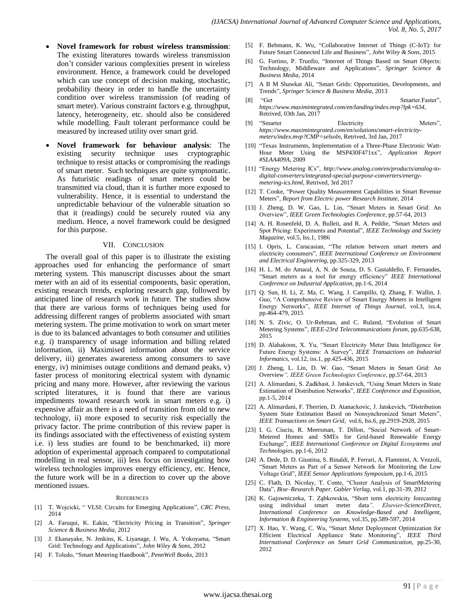- **Novel framework for robust wireless transmission**: The existing literatures towards wireless transmission don't consider various complexities present in wireless environment. Hence, a framework could be developed which can use concept of decision making, stochastic, probability theory in order to handle the uncertainty condition over wireless transmission (of reading of smart meter). Various constraint factors e.g. throughput, latency, heterogeneity, etc. should also be considered while modelling. Fault tolerant performance could be measured by increased utility over smart grid.
- **Novel framework for behaviour analysis**: The existing security technique uses cryptographic technique to resist attacks or compromising the readings of smart meter. Such techniques are quite symptomatic. As futuristic readings of smart meters could be transmitted via cloud, than it is further more exposed to vulnerability. Hence, it is essential to understand the unpredictable behaviour of the vulnerable situation so that it (readings) could be securely routed via any medium. Hence, a novel framework could be designed for this purpose.

#### VII. CONCLUSION

The overall goal of this paper is to illustrate the existing approaches used for enhancing the performance of smart metering system. This manuscript discusses about the smart meter with an aid of its essential components, basic operation, existing research trends, exploring research gap, followed by anticipated line of research work in future. The studies show that there are various forms of techniques being used for addressing different ranges of problems associated with smart metering system. The prime motivation to work on smart meter is due to its balanced advantages to both consumer and utilities e.g. i) transparency of usage information and billing related information, ii) Maximised information about the service delivery, iii) generates awareness among consumers to save energy, iv) minimises outage conditions and demand peaks, v) faster process of monitoring electrical system with dynamic pricing and many more. However, after reviewing the various scripted literatures, it is found that there are various impediments toward research work in smart meters e.g. i) expensive affair as there is a need of transition from old to new technology, ii) more exposed to security risk especially the privacy factor. The prime contribution of this review paper is its findings associated with the effectiveness of existing system i.e. i) less studies are found to be benchmarked, ii) more adoption of experimental approach compared to computational modelling in real sensor, iii) less focus on investigating how wireless technologies improves energy efficiency, etc. Hence, the future work will be in a direction to cover up the above mentioned issues.

#### **REFERENCES**

- [1] T. Wojcicki, " VLSI: Circuits for Emerging Applications", *CRC Press,*  2014
- [2] A. Faruqui, K. Eakin, "Electricity Pricing in Transition", *Springer Science & Business Media,* 2012
- [3] J. Ekanayake, N. Jenkins, K. Liyanage, J. Wu, A. Yokoyama, "Smart Grid: Technology and Applications", *John Wiley & Sons,* 2012
- [4] F. Toledo, "Smart Metering Handbook", *PennWell Books,* 2013
- [5] F. Behmann, K. Wu, "Collaborative Internet of Things (C-IoT): for Future Smart Connected Life and Business", *John Wiley & Sons,* 2015
- [6] G. Fortino, P. Trunfio, "Internet of Things Based on Smart Objects: Technology, Middleware and Applications", *Springer Science & Business Media,* 2014
- [7] A B M Shawkat Ali, "Smart Grids: Opportunities, Developments, and Trends", *Springer Science & Business Media,* 2013
- [8] "Get Smarter.Faster", *https://www.maximintegrated.com/en/landing/index.mvp?lpk=634,* Retrived, 03th Jan, 2017
- [9] "Smarter Electricity Meters", *https://www.maximintegrated.com/en/solutions/smart-electricitymeters/index.mvp?CMP=selsoln*, Retrived, 3rd Jan, 2017
- [10] "Texas Instruments, Implementation of a Three-Phase Electronic Watt-Hour Meter Using the MSP430F471xx", *Application Report #SLAA409A,* 2009
- [11] "Energy Metering ICs", *http://www.analog.com/en/products/analog-todigital-converters/integrated-special-purpose-converters/energymetering-ics.html,* Retrived, 3rd 2017
- [12] T. Cooke, "Power Quality Measurement Capabilities in Smart Revenue Meters", *Report from Electric power Research Institute,* 2014
- [13] J. Zheng, D. W. Gao, L. Lin, "Smart Meters in Smart Grid: An Overview", *IEEE Green Technologies Conference*, pp.57-64, 2013
- [14] A. H. Rosenfeld, D. A. Bulleit, and R. A. Peddie, "Smart Meters and Spot Pricing: Experiments and Potential", *IEEE Technology and Society Magazine*, vol.5, Iss.1, 1986
- [15] I. Opris, L. Caracasian, "The relation between smart meters and electricity consumers", *IEEE International Conference on Environment and Electrical Engineering,* pp.325-329, 2013
- [16] H. L. M. do Amaral, A. N. de Souza, D. S. Gastaldello, F. Fernandes, "Smart meters as a tool for energy efficiency" *IEEE International Conference on Industrial Application*, pp.1-6, 2014
- [17] Q. Sun, H. Li, Z. Ma, C. Wang, J. Campillo, Q. Zhang, F. Wallin, J. Guo, "A Comprehensive Review of Smart Energy Meters in Intelligent Energy Networks", *IEEE Internet of Things Journal*, vol.3, iss.4, pp.464-479, 2015
- [18] N. S. Zivic, O. Ur-Rehman, and C. Ruland, "Evolution of Smart Metering Systems", *IEEE-23rd Telecommunications forum*, pp.635-638, 2015
- [19] D. Alahakoon, X. Yu, "Smart Electricity Meter Data Intelligence for Future Energy Systems: A Survey", *IEEE Transactions on Industrial Informatics*, vol.12, iss.1, pp.425-436, 2015
- [20] J. Zheng, L. Lin, D. W. Gao, "Smart Meters in Smart Grid: An Overview*", IEEE Green Technologies Conference*, pp.57-64, 2013
- [21] A. Alimardani, S. Zadkhast, J. Jatskevich, "Using Smart Meters in State Estimation of Distribution Networks", *IEEE Conference and Exposition,*  pp.1-5, 2014
- [22] A. Alimardani, F. Therrien, D. Atanackovic, J. Jatskevich, "Distribution System State Estimation Based on Nonsynchronized Smart Meters", *IEEE Transactions on Smart Grid,* vol.6, Iss.6, pp.2919-2928, 2015
- [23] I. G. Ciuciu, R. Meersman, T. Dillon, "Social Network of Smart-Metered Homes and SMEs for Grid-based Renewable Energy Exchange", *IEEE International Conference on Digital Ecosystems and Technologies,* pp.1-6, 2012
- [24] A. Dede, D. D. Giustina, S. Rinaldi, P. Ferrari, A. Flammini, A. Vezzoli, "Smart Meters as Part of a Sensor Network for Monitoring the Low Voltage Grid", *IEEE Sensor Applications Symposium,* pp.1-6, 2015
- [25] C. Flath, D. Nicolay, T. Conte, "Cluster Analysis of SmartMetering Data", *Bise–Research Paper. Gabler Verlag,* vol.1, pp.31-39, 2012
- [26] K. Gajowniczeka, T. Zabkowskia, "Short term electricity forecasting using individual smart meter data*", Elsevier-ScienceDirect, International Conference on Knowledge-Based and Intelligent, Information & Engineering Systems,* vol.35, pp.589-597, 2014
- [27] X. Hao, Y. Wang, C. Wu, "Smart Meter Deployment Optimization for Efficient Electrical Appliance State Monitoring", *IEEE Third International Conference on Smart Grid Communication,* pp.25-30, 2012